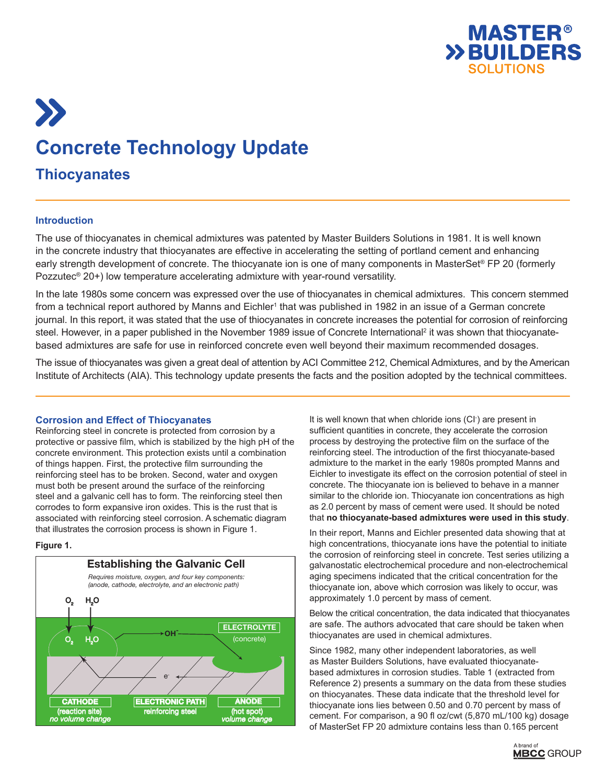

# $\sum$ **Concrete Technology Update Thiocyanates**

# **Introduction**

The use of thiocyanates in chemical admixtures was patented by Master Builders Solutions in 1981. It is well known in the concrete industry that thiocyanates are effective in accelerating the setting of portland cement and enhancing early strength development of concrete. The thiocyanate ion is one of many components in MasterSet® FP 20 (formerly Pozzutec® 20+) low temperature accelerating admixture with year-round versatility.

In the late 1980s some concern was expressed over the use of thiocyanates in chemical admixtures. This concern stemmed from a technical report authored by Manns and Eichler1 that was published in 1982 in an issue of a German concrete journal. In this report, it was stated that the use of thiocyanates in concrete increases the potential for corrosion of reinforcing steel. However, in a paper published in the November 1989 issue of Concrete International<sup>2</sup> it was shown that thiocyanatebased admixtures are safe for use in reinforced concrete even well beyond their maximum recommended dosages.

The issue of thiocyanates was given a great deal of attention by ACI Committee 212, Chemical Admixtures, and by the American Institute of Architects (AIA). This technology update presents the facts and the position adopted by the technical committees.

## **Corrosion and Effect of Thiocyanates**

Reinforcing steel in concrete is protected from corrosion by a protective or passive film, which is stabilized by the high pH of the concrete environment. This protection exists until a combination of things happen. First, the protective film surrounding the reinforcing steel has to be broken. Second, water and oxygen must both be present around the surface of the reinforcing steel and a galvanic cell has to form. The reinforcing steel then corrodes to form expansive iron oxides. This is the rust that is associated with reinforcing steel corrosion. A schematic diagram that illustrates the corrosion process is shown in Figure 1.

## **Figure 1.**



It is well known that when chloride ions (CI- ) are present in sufficient quantities in concrete, they accelerate the corrosion process by destroying the protective film on the surface of the reinforcing steel. The introduction of the first thiocyanate-based admixture to the market in the early 1980s prompted Manns and Eichler to investigate its effect on the corrosion potential of steel in concrete. The thiocyanate ion is believed to behave in a manner similar to the chloride ion. Thiocyanate ion concentrations as high as 2.0 percent by mass of cement were used. It should be noted that **no thiocyanate-based admixtures were used in this study**.

In their report, Manns and Eichler presented data showing that at high concentrations, thiocyanate ions have the potential to initiate the corrosion of reinforcing steel in concrete. Test series utilizing a galvanostatic electrochemical procedure and non-electrochemical aging specimens indicated that the critical concentration for the thiocyanate ion, above which corrosion was likely to occur, was approximately 1.0 percent by mass of cement.

Below the critical concentration, the data indicated that thiocyanates are safe. The authors advocated that care should be taken when thiocyanates are used in chemical admixtures.

Since 1982, many other independent laboratories, as well as Master Builders Solutions, have evaluated thiocyanatebased admixtures in corrosion studies. Table 1 (extracted from Reference 2) presents a summary on the data from these studies on thiocyanates. These data indicate that the threshold level for thiocyanate ions lies between 0.50 and 0.70 percent by mass of cement. For comparison, a 90 fl oz/cwt (5,870 mL/100 kg) dosage of MasterSet FP 20 admixture contains less than 0.165 percent

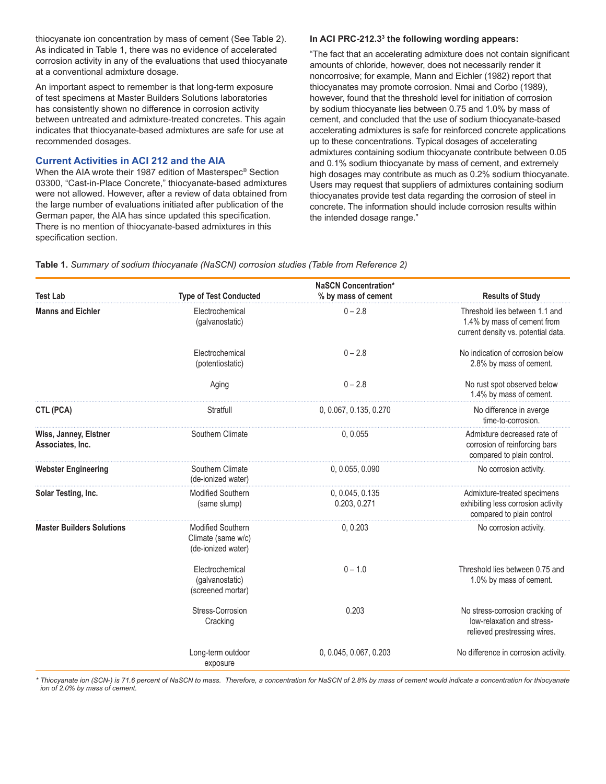thiocyanate ion concentration by mass of cement (See Table 2). As indicated in Table 1, there was no evidence of accelerated corrosion activity in any of the evaluations that used thiocyanate at a conventional admixture dosage.

An important aspect to remember is that long-term exposure of test specimens at Master Builders Solutions laboratories has consistently shown no difference in corrosion activity between untreated and admixture-treated concretes. This again indicates that thiocyanate-based admixtures are safe for use at recommended dosages.

# **Current Activities in ACI 212 and the AIA**

When the AIA wrote their 1987 edition of Masterspec® Section 03300, "Cast-in-Place Concrete," thiocyanate-based admixtures were not allowed. However, after a review of data obtained from the large number of evaluations initiated after publication of the German paper, the AIA has since updated this specification. There is no mention of thiocyanate-based admixtures in this specification section.

#### **In ACI PRC-212.33 the following wording appears:**

"The fact that an accelerating admixture does not contain significant amounts of chloride, however, does not necessarily render it noncorrosive; for example, Mann and Eichler (1982) report that thiocyanates may promote corrosion. Nmai and Corbo (1989), however, found that the threshold level for initiation of corrosion by sodium thiocyanate lies between 0.75 and 1.0% by mass of cement, and concluded that the use of sodium thiocyanate-based accelerating admixtures is safe for reinforced concrete applications up to these concentrations. Typical dosages of accelerating admixtures containing sodium thiocyanate contribute between 0.05 and 0.1% sodium thiocyanate by mass of cement, and extremely high dosages may contribute as much as 0.2% sodium thiocyanate. Users may request that suppliers of admixtures containing sodium thiocyanates provide test data regarding the corrosion of steel in concrete. The information should include corrosion results within the intended dosage range."

|                                           |                                                                      | <b>NaSCN Concentration*</b>     |                                                                                                      |
|-------------------------------------------|----------------------------------------------------------------------|---------------------------------|------------------------------------------------------------------------------------------------------|
| <b>Test Lab</b>                           | <b>Type of Test Conducted</b>                                        | % by mass of cement             | <b>Results of Study</b>                                                                              |
| <b>Manns and Eichler</b>                  | Electrochemical<br>(galvanostatic)                                   | $0 - 2.8$                       | Threshold lies between 1.1 and<br>1.4% by mass of cement from<br>current density vs. potential data. |
|                                           | Electrochemical<br>(potentiostatic)                                  | $0 - 2.8$                       | No indication of corrosion below<br>2.8% by mass of cement.                                          |
|                                           | Aging                                                                | $0 - 2.8$                       | No rust spot observed below<br>1.4% by mass of cement.                                               |
| CTL (PCA)                                 | Stratfull                                                            | 0, 0.067, 0.135, 0.270          | No difference in averge<br>time-to-corrosion.                                                        |
| Wiss, Janney, Elstner<br>Associates, Inc. | Southern Climate                                                     | 0, 0.055                        | Admixture decreased rate of<br>corrosion of reinforcing bars<br>compared to plain control.           |
| <b>Webster Engineering</b>                | Southern Climate<br>(de-ionized water)                               | 0, 0.055, 0.090                 | No corrosion activity.                                                                               |
| Solar Testing, Inc.                       | <b>Modified Southern</b><br>(same slump)                             | 0, 0.045, 0.135<br>0.203, 0.271 | Admixture-treated specimens<br>exhibiting less corrosion activity<br>compared to plain control       |
| <b>Master Builders Solutions</b>          | <b>Modified Southern</b><br>Climate (same w/c)<br>(de-ionized water) | 0, 0.203                        | No corrosion activity.                                                                               |
|                                           | Electrochemical<br>(galvanostatic)<br>(screened mortar)              | $0 - 1.0$                       | Threshold lies between 0.75 and<br>1.0% by mass of cement.                                           |
|                                           | Stress-Corrosion<br>Cracking                                         | 0.203                           | No stress-corrosion cracking of<br>low-relaxation and stress-<br>relieved prestressing wires.        |
|                                           | Long-term outdoor<br>exposure                                        | 0, 0.045, 0.067, 0.203          | No difference in corrosion activity.                                                                 |

**Table 1.** *Summary of sodium thiocyanate (NaSCN) corrosion studies (Table from Reference 2)*

*\* Thiocyanate ion (SCN-) is 71.6 percent of NaSCN to mass. Therefore, a concentration for NaSCN of 2.8% by mass of cement would indicate a concentration for thiocyanate ion of 2.0% by mass of cement.*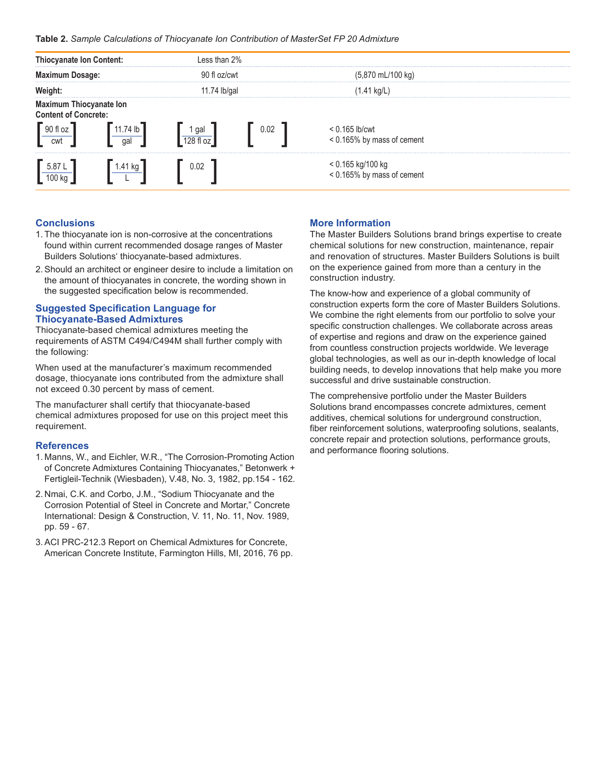#### **Table 2.** *Sample Calculations of Thiocyanate Ion Contribution of MasterSet FP 20 Admixture*



# **Conclusions**

- 1. The thiocyanate ion is non-corrosive at the concentrations found within current recommended dosage ranges of Master Builders Solutions' thiocyanate-based admixtures.
- 2.Should an architect or engineer desire to include a limitation on the amount of thiocyanates in concrete, the wording shown in the suggested specification below is recommended.

## **Suggested Specification Language for Thiocyanate-Based Admixtures**

Thiocyanate-based chemical admixtures meeting the requirements of ASTM C494/C494M shall further comply with the following:

When used at the manufacturer's maximum recommended dosage, thiocyanate ions contributed from the admixture shall not exceed 0.30 percent by mass of cement.

The manufacturer shall certify that thiocyanate-based chemical admixtures proposed for use on this project meet this requirement.

#### **References**

- 1. Manns, W., and Eichler, W.R., "The Corrosion-Promoting Action of Concrete Admixtures Containing Thiocyanates," Betonwerk + Fertigleil-Technik (Wiesbaden), V.48, No. 3, 1982, pp.154 - 162.
- 2. Nmai, C.K. and Corbo, J.M., "Sodium Thiocyanate and the Corrosion Potential of Steel in Concrete and Mortar," Concrete International: Design & Construction, V. 11, No. 11, Nov. 1989, pp. 59 - 67.
- 3.ACI PRC-212.3 Report on Chemical Admixtures for Concrete, American Concrete Institute, Farmington Hills, MI, 2016, 76 pp.

# **More Information**

The Master Builders Solutions brand brings expertise to create chemical solutions for new construction, maintenance, repair and renovation of structures. Master Builders Solutions is built on the experience gained from more than a century in the construction industry.

The know-how and experience of a global community of construction experts form the core of Master Builders Solutions. We combine the right elements from our portfolio to solve your specific construction challenges. We collaborate across areas of expertise and regions and draw on the experience gained from countless construction projects worldwide. We leverage global technologies, as well as our in-depth knowledge of local building needs, to develop innovations that help make you more successful and drive sustainable construction.

The comprehensive portfolio under the Master Builders Solutions brand encompasses concrete admixtures, cement additives, chemical solutions for underground construction, fiber reinforcement solutions, waterproofing solutions, sealants, concrete repair and protection solutions, performance grouts, and performance flooring solutions.